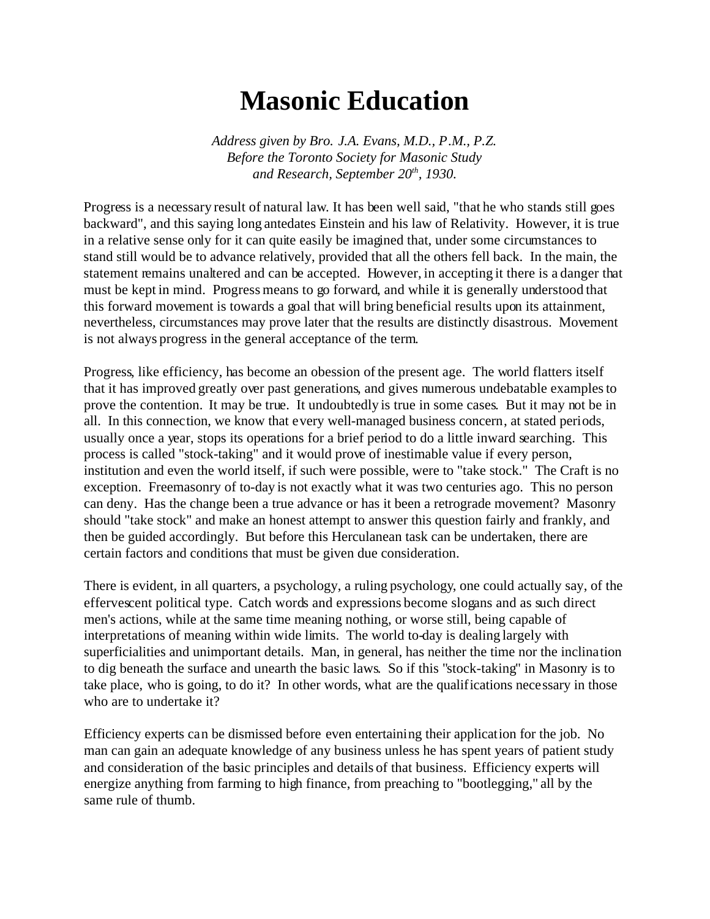## **Masonic Education**

*Address given by Bro. J.A. Evans, M.D., P.M., P.Z. Before the Toronto Society for Masonic Study and Research, September 20th, 1930.*

Progress is a necessary result of natural law. It has been well said, "that he who stands still goes backward", and this saying long antedates Einstein and his law of Relativity. However, it is true in a relative sense only for it can quite easily be imagined that, under some circumstances to stand still would be to advance relatively, provided that all the others fell back. In the main, the statement remains unaltered and can be accepted. However, in accepting it there is a danger that must be kept in mind. Progress means to go forward, and while it is generally understood that this forward movement is towards a goal that will bring beneficial results upon its attainment, nevertheless, circumstances may prove later that the results are distinctly disastrous. Movement is not always progress in the general acceptance of the term.

Progress, like efficiency, has become an obession of the present age. The world flatters itself that it has improved greatly over past generations, and gives numerous undebatable examples to prove the contention. It may be true. It undoubtedly is true in some cases. But it may not be in all. In this connection, we know that every well-managed business concern, at stated periods, usually once a year, stops its operations for a brief period to do a little inward searching. This process is called "stock-taking" and it would prove of inestimable value if every person, institution and even the world itself, if such were possible, were to "take stock." The Craft is no exception. Freemasonry of to-day is not exactly what it was two centuries ago. This no person can deny. Has the change been a true advance or has it been a retrograde movement? Masonry should "take stock" and make an honest attempt to answer this question fairly and frankly, and then be guided accordingly. But before this Herculanean task can be undertaken, there are certain factors and conditions that must be given due consideration.

There is evident, in all quarters, a psychology, a ruling psychology, one could actually say, of the effervescent political type. Catch words and expressions become slogans and as such direct men's actions, while at the same time meaning nothing, or worse still, being capable of interpretations of meaning within wide limits. The world to-day is dealing largely with superficialities and unimportant details. Man, in general, has neither the time nor the inclination to dig beneath the surface and unearth the basic laws. So if this "stock-taking" in Masonry is to take place, who is going, to do it? In other words, what are the qualifications necessary in those who are to undertake it?

Efficiency experts can be dismissed before even entertaining their application for the job. No man can gain an adequate knowledge of any business unless he has spent years of patient study and consideration of the basic principles and details of that business. Efficiency experts will energize anything from farming to high finance, from preaching to "bootlegging," all by the same rule of thumb.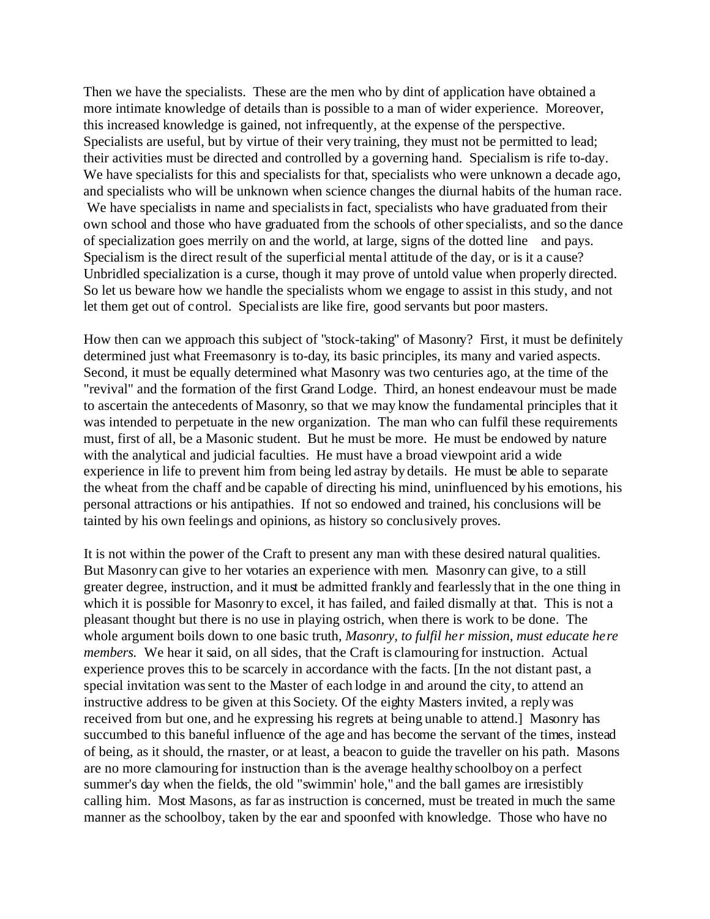Then we have the specialists. These are the men who by dint of application have obtained a more intimate knowledge of details than is possible to a man of wider experience. Moreover, this increased knowledge is gained, not infrequently, at the expense of the perspective. Specialists are useful, but by virtue of their very training, they must not be permitted to lead; their activities must be directed and controlled by a governing hand. Specialism is rife to-day. We have specialists for this and specialists for that, specialists who were unknown a decade ago, and specialists who will be unknown when science changes the diurnal habits of the human race. We have specialists in name and specialists in fact, specialists who have graduated from their own school and those who have graduated from the schools of other specialists, and so the dance of specialization goes merrily on and the world, at large, signs of the dotted line and pays. Specialism is the direct result of the superficial mental attitude of the day, or is it a cause? Unbridled specialization is a curse, though it may prove of untold value when properly directed. So let us beware how we handle the specialists whom we engage to assist in this study, and not let them get out of control. Specialists are like fire, good servants but poor masters.

How then can we approach this subject of "stock-taking" of Masonry? First, it must be definitely determined just what Freemasonry is to-day, its basic principles, its many and varied aspects. Second, it must be equally determined what Masonry was two centuries ago, at the time of the "revival" and the formation of the first Grand Lodge. Third, an honest endeavour must be made to ascertain the antecedents of Masonry, so that we may know the fundamental principles that it was intended to perpetuate in the new organization. The man who can fulfil these requirements must, first of all, be a Masonic student. But he must be more. He must be endowed by nature with the analytical and judicial faculties. He must have a broad viewpoint arid a wide experience in life to prevent him from being led astray by details. He must be able to separate the wheat from the chaff and be capable of directing his mind, uninfluenced by his emotions, his personal attractions or his antipathies. If not so endowed and trained, his conclusions will be tainted by his own feelings and opinions, as history so conclusively proves.

It is not within the power of the Craft to present any man with these desired natural qualities. But Masonry can give to her votaries an experience with men. Masonry can give, to a still greater degree, instruction, and it must be admitted frankly and fearlessly that in the one thing in which it is possible for Masonry to excel, it has failed, and failed dismally at that. This is not a pleasant thought but there is no use in playing ostrich, when there is work to be done. The whole argument boils down to one basic truth, *Masonry, to fulfil her mission, must educate here members.* We hear it said, on all sides, that the Craft is clamouring for instruction. Actual experience proves this to be scarcely in accordance with the facts. [In the not distant past, a special invitation was sent to the Master of each lodge in and around the city, to attend an instructive address to be given at this Society. Of the eighty Masters invited, a reply was received from but one, and he expressing his regrets at being unable to attend.] Masonry has succumbed to this baneful influence of the age and has become the servant of the times, instead of being, as it should, the rnaster, or at least, a beacon to guide the traveller on his path. Masons are no more clamouring for instruction than is the average healthy schoolboy on a perfect summer's day when the fields, the old "swimmin' hole," and the ball games are irresistibly calling him. Most Masons, as far as instruction is concerned, must be treated in much the same manner as the schoolboy, taken by the ear and spoonfed with knowledge. Those who have no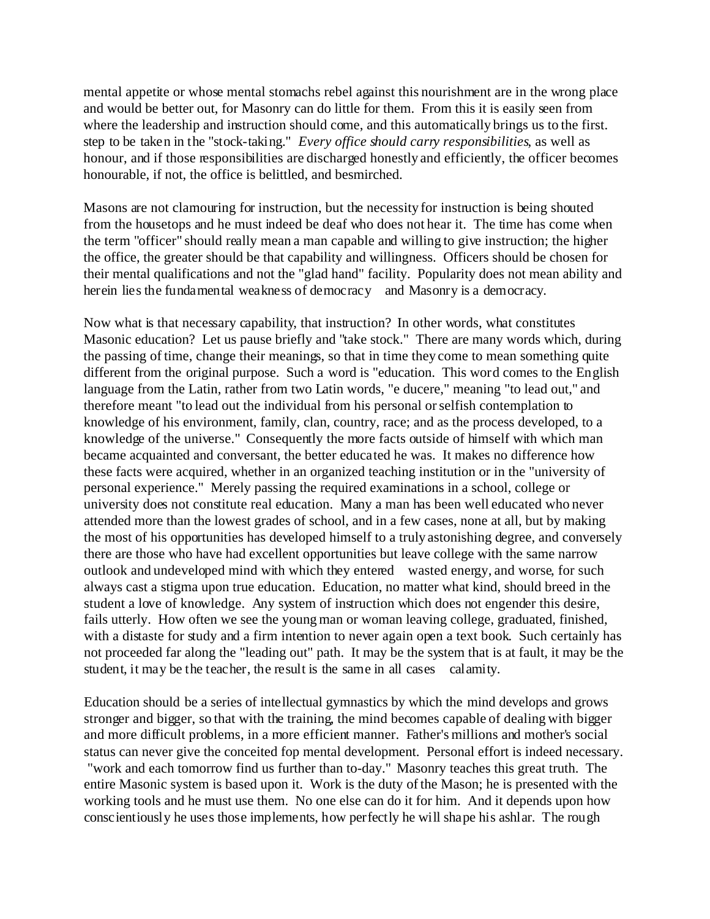mental appetite or whose mental stomachs rebel against this nourishment are in the wrong place and would be better out, for Masonry can do little for them. From this it is easily seen from where the leadership and instruction should come, and this automatically brings us to the first. step to be taken in the "stock-taking." *Every office should carry responsibilities*, as well as honour, and if those responsibilities are discharged honestly and efficiently, the officer becomes honourable, if not, the office is belittled, and besmirched.

Masons are not clamouring for instruction, but the necessity for instruction is being shouted from the housetops and he must indeed be deaf who does not hear it. The time has come when the term "officer" should really mean a man capable and willing to give instruction; the higher the office, the greater should be that capability and willingness. Officers should be chosen for their mental qualifications and not the "glad hand" facility. Popularity does not mean ability and herein lies the fundamental weakness of democracy and Masonry is a democracy.

Now what is that necessary capability, that instruction? In other words, what constitutes Masonic education? Let us pause briefly and "take stock." There are many words which, during the passing of time, change their meanings, so that in time they come to mean something quite different from the original purpose. Such a word is "education. This word comes to the English language from the Latin, rather from two Latin words, "e ducere," meaning "to lead out," and therefore meant "to lead out the individual from his personal or selfish contemplation to knowledge of his environment, family, clan, country, race; and as the process developed, to a knowledge of the universe." Consequently the more facts outside of himself with which man became acquainted and conversant, the better educated he was. It makes no difference how these facts were acquired, whether in an organized teaching institution or in the "university of personal experience." Merely passing the required examinations in a school, college or university does not constitute real education. Many a man has been well educated who never attended more than the lowest grades of school, and in a few cases, none at all, but by making the most of his opportunities has developed himself to a truly astonishing degree, and conversely there are those who have had excellent opportunities but leave college with the same narrow outlook and undeveloped mind with which they entered wasted energy, and worse, for such always cast a stigma upon true education. Education, no matter what kind, should breed in the student a love of knowledge. Any system of instruction which does not engender this desire, fails utterly. How often we see the young man or woman leaving college, graduated, finished, with a distaste for study and a firm intention to never again open a text book. Such certainly has not proceeded far along the "leading out" path. It may be the system that is at fault, it may be the student, it may be the teacher, the result is the same in all cases calamity.

Education should be a series of intellectual gymnastics by which the mind develops and grows stronger and bigger, so that with the training, the mind becomes capable of dealing with bigger and more difficult problems, in a more efficient manner. Father's millions and mother's social status can never give the conceited fop mental development. Personal effort is indeed necessary. "work and each tomorrow find us further than to-day." Masonry teaches this great truth. The entire Masonic system is based upon it. Work is the duty of the Mason; he is presented with the working tools and he must use them. No one else can do it for him. And it depends upon how conscientiously he uses those implements, how perfectly he will shape his ashlar. The rough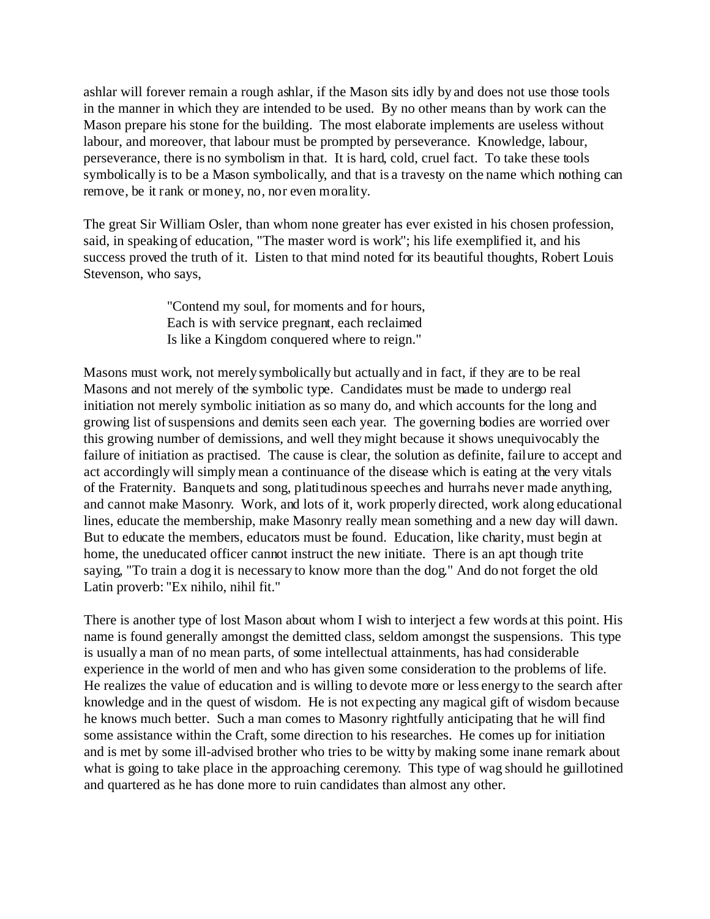ashlar will forever remain a rough ashlar, if the Mason sits idly by and does not use those tools in the manner in which they are intended to be used. By no other means than by work can the Mason prepare his stone for the building. The most elaborate implements are useless without labour, and moreover, that labour must be prompted by perseverance. Knowledge, labour, perseverance, there is no symbolism in that. It is hard, cold, cruel fact. To take these tools symbolically is to be a Mason symbolically, and that is a travesty on the name which nothing can remove, be it rank or money, no, nor even morality.

The great Sir William Osler, than whom none greater has ever existed in his chosen profession, said, in speaking of education, "The master word is work"; his life exemplified it, and his success proved the truth of it. Listen to that mind noted for its beautiful thoughts, Robert Louis Stevenson, who says,

> "Contend my soul, for moments and for hours, Each is with service pregnant, each reclaimed Is like a Kingdom conquered where to reign."

Masons must work, not merely symbolically but actually and in fact, if they are to be real Masons and not merely of the symbolic type. Candidates must be made to undergo real initiation not merely symbolic initiation as so many do, and which accounts for the long and growing list of suspensions and demits seen each year. The governing bodies are worried over this growing number of demissions, and well they might because it shows unequivocably the failure of initiation as practised. The cause is clear, the solution as definite, failure to accept and act accordingly will simply mean a continuance of the disease which is eating at the very vitals of the Fraternity. Banquets and song, platitudinous speeches and hurrahs never made anything, and cannot make Masonry. Work, and lots of it, work properly directed, work along educational lines, educate the membership, make Masonry really mean something and a new day will dawn. But to educate the members, educators must be found. Education, like charity, must begin at home, the uneducated officer cannot instruct the new initiate. There is an apt though trite saying, "To train a dog it is necessary to know more than the dog." And do not forget the old Latin proverb: "Ex nihilo, nihil fit."

There is another type of lost Mason about whom I wish to interject a few words at this point. His name is found generally amongst the demitted class, seldom amongst the suspensions. This type is usually a man of no mean parts, of some intellectual attainments, has had considerable experience in the world of men and who has given some consideration to the problems of life. He realizes the value of education and is willing to devote more or less energy to the search after knowledge and in the quest of wisdom. He is not expecting any magical gift of wisdom because he knows much better. Such a man comes to Masonry rightfully anticipating that he will find some assistance within the Craft, some direction to his researches. He comes up for initiation and is met by some ill-advised brother who tries to be witty by making some inane remark about what is going to take place in the approaching ceremony. This type of wag should he guillotined and quartered as he has done more to ruin candidates than almost any other.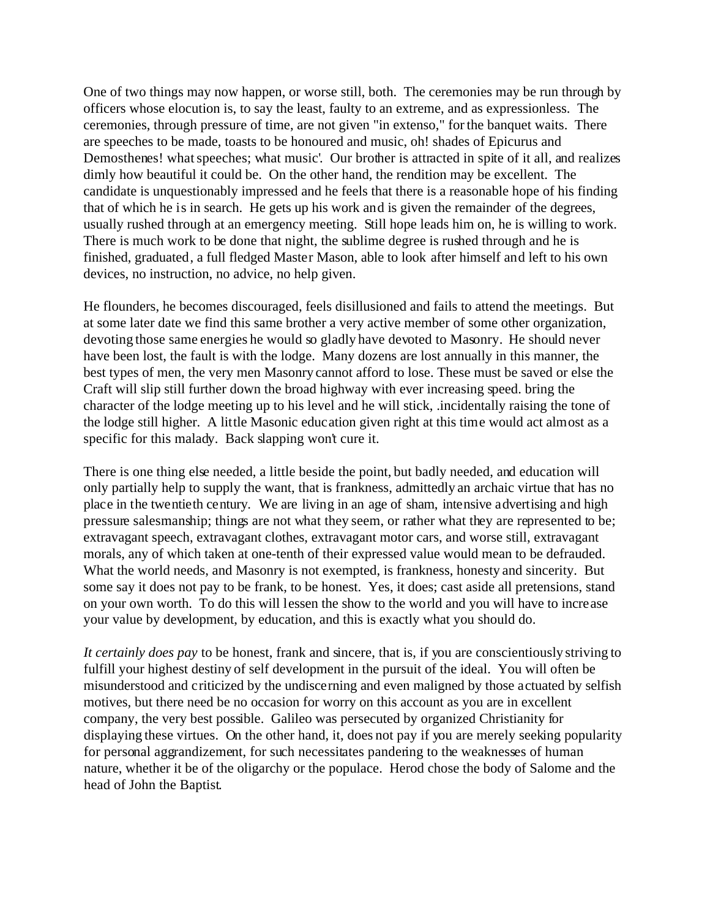One of two things may now happen, or worse still, both. The ceremonies may be run through by officers whose elocution is, to say the least, faulty to an extreme, and as expressionless. The ceremonies, through pressure of time, are not given "in extenso," for the banquet waits. There are speeches to be made, toasts to be honoured and music, oh! shades of Epicurus and Demosthenes! what speeches; what music'. Our brother is attracted in spite of it all, and realizes dimly how beautiful it could be. On the other hand, the rendition may be excellent. The candidate is unquestionably impressed and he feels that there is a reasonable hope of his finding that of which he is in search. He gets up his work and is given the remainder of the degrees, usually rushed through at an emergency meeting. Still hope leads him on, he is willing to work. There is much work to be done that night, the sublime degree is rushed through and he is finished, graduated, a full fledged Master Mason, able to look after himself and left to his own devices, no instruction, no advice, no help given.

He flounders, he becomes discouraged, feels disillusioned and fails to attend the meetings. But at some later date we find this same brother a very active member of some other organization, devoting those same energies he would so gladly have devoted to Masonry. He should never have been lost, the fault is with the lodge. Many dozens are lost annually in this manner, the best types of men, the very men Masonry cannot afford to lose. These must be saved or else the Craft will slip still further down the broad highway with ever increasing speed. bring the character of the lodge meeting up to his level and he will stick, .incidentally raising the tone of the lodge still higher. A little Masonic education given right at this time would act almost as a specific for this malady. Back slapping won't cure it.

There is one thing else needed, a little beside the point, but badly needed, and education will only partially help to supply the want, that is frankness, admittedly an archaic virtue that has no place in the twentieth century. We are living in an age of sham, intensive advertising and high pressure salesmanship; things are not what they seem, or rather what they are represented to be; extravagant speech, extravagant clothes, extravagant motor cars, and worse still, extravagant morals, any of which taken at one-tenth of their expressed value would mean to be defrauded. What the world needs, and Masonry is not exempted, is frankness, honesty and sincerity. But some say it does not pay to be frank, to be honest. Yes, it does; cast aside all pretensions, stand on your own worth. To do this will lessen the show to the world and you will have to increase your value by development, by education, and this is exactly what you should do.

*It certainly does pay* to be honest, frank and sincere, that is, if you are conscientiously striving to fulfill your highest destiny of self development in the pursuit of the ideal. You will often be misunderstood and criticized by the undiscerning and even maligned by those actuated by selfish motives, but there need be no occasion for worry on this account as you are in excellent company, the very best possible. Galileo was persecuted by organized Christianity for displaying these virtues. On the other hand, it, does not pay if you are merely seeking popularity for personal aggrandizement, for such necessitates pandering to the weaknesses of human nature, whether it be of the oligarchy or the populace. Herod chose the body of Salome and the head of John the Baptist.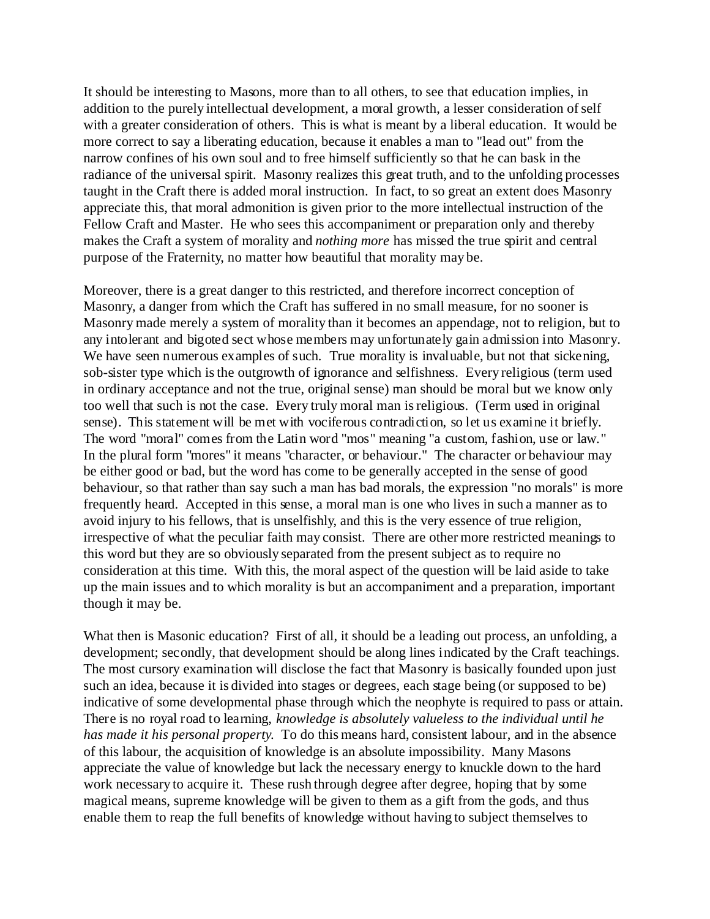It should be interesting to Masons, more than to all others, to see that education implies, in addition to the purely intellectual development, a moral growth, a lesser consideration of self with a greater consideration of others. This is what is meant by a liberal education. It would be more correct to say a liberating education, because it enables a man to "lead out" from the narrow confines of his own soul and to free himself sufficiently so that he can bask in the radiance of the universal spirit. Masonry realizes this great truth, and to the unfolding processes taught in the Craft there is added moral instruction. In fact, to so great an extent does Masonry appreciate this, that moral admonition is given prior to the more intellectual instruction of the Fellow Craft and Master. He who sees this accompaniment or preparation only and thereby makes the Craft a system of morality and *nothing more* has missed the true spirit and central purpose of the Fraternity, no matter how beautiful that morality may be.

Moreover, there is a great danger to this restricted, and therefore incorrect conception of Masonry, a danger from which the Craft has suffered in no small measure, for no sooner is Masonry made merely a system of morality than it becomes an appendage, not to religion, but to any intolerant and bigoted sect whose members may unfortunately gain admission into Masonry. We have seen numerous examples of such. True morality is invaluable, but not that sickening, sob-sister type which is the outgrowth of ignorance and selfishness. Every religious (term used in ordinary acceptance and not the true, original sense) man should be moral but we know only too well that such is not the case. Every truly moral man is religious. (Term used in original sense). This statement will be met with vociferous contradiction, so let us examine it briefly. The word "moral" comes from the Latin word "mos" meaning "a custom, fashion, use or law." In the plural form "mores" it means "character, or behaviour." The character or behaviour may be either good or bad, but the word has come to be generally accepted in the sense of good behaviour, so that rather than say such a man has bad morals, the expression "no morals" is more frequently heard. Accepted in this sense, a moral man is one who lives in such a manner as to avoid injury to his fellows, that is unselfishly, and this is the very essence of true religion, irrespective of what the peculiar faith may consist. There are other more restricted meanings to this word but they are so obviously separated from the present subject as to require no consideration at this time. With this, the moral aspect of the question will be laid aside to take up the main issues and to which morality is but an accompaniment and a preparation, important though it may be.

What then is Masonic education? First of all, it should be a leading out process, an unfolding, a development; secondly, that development should be along lines indicated by the Craft teachings. The most cursory examination will disclose the fact that Masonry is basically founded upon just such an idea, because it is divided into stages or degrees, each stage being (or supposed to be) indicative of some developmental phase through which the neophyte is required to pass or attain. There is no royal road to learning, *knowledge is absolutely valueless to the individual until he has made it his personal property*. To do this means hard, consistent labour, and in the absence of this labour, the acquisition of knowledge is an absolute impossibility. Many Masons appreciate the value of knowledge but lack the necessary energy to knuckle down to the hard work necessary to acquire it. These rush through degree after degree, hoping that by some magical means, supreme knowledge will be given to them as a gift from the gods, and thus enable them to reap the full benefits of knowledge without having to subject themselves to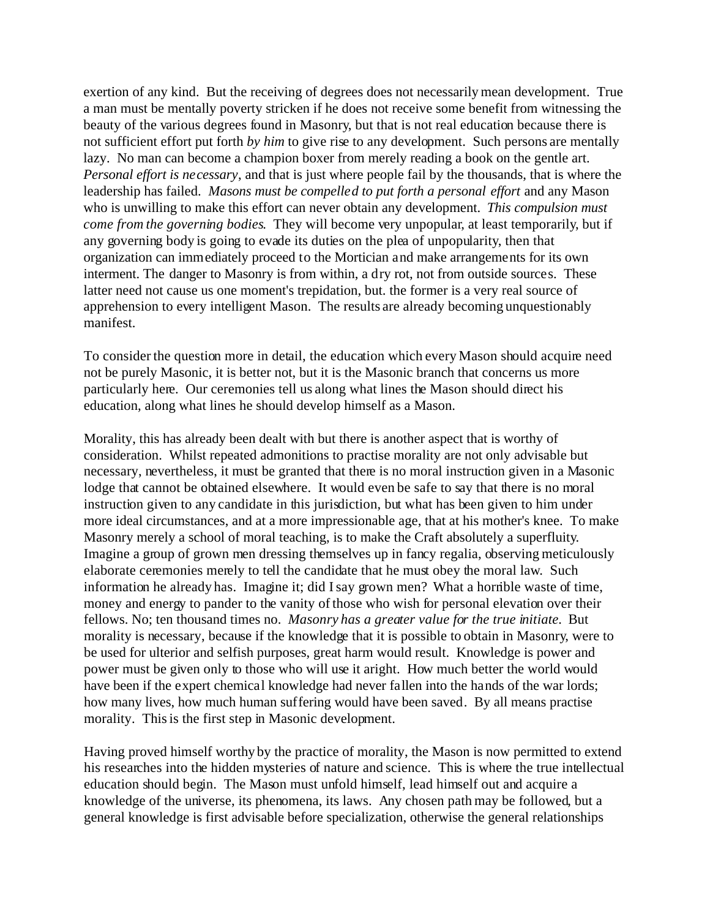exertion of any kind. But the receiving of degrees does not necessarily mean development. True a man must be mentally poverty stricken if he does not receive some benefit from witnessing the beauty of the various degrees found in Masonry, but that is not real education because there is not sufficient effort put forth *by him* to give rise to any development. Such persons are mentally lazy. No man can become a champion boxer from merely reading a book on the gentle art. *Personal effort is necessary*, and that is just where people fail by the thousands, that is where the leadership has failed. *Masons must be compelled to put forth a personal effort* and any Mason who is unwilling to make this effort can never obtain any development. *This compulsion must come from the governing bodies*. They will become very unpopular, at least temporarily, but if any governing body is going to evade its duties on the plea of unpopularity, then that organization can immediately proceed to the Mortician and make arrangements for its own interment. The danger to Masonry is from within, a dry rot, not from outside sources. These latter need not cause us one moment's trepidation, but. the former is a very real source of apprehension to every intelligent Mason. The results are already becoming unquestionably manifest.

To consider the question more in detail, the education which every Mason should acquire need not be purely Masonic, it is better not, but it is the Masonic branch that concerns us more particularly here. Our ceremonies tell us along what lines the Mason should direct his education, along what lines he should develop himself as a Mason.

Morality, this has already been dealt with but there is another aspect that is worthy of consideration. Whilst repeated admonitions to practise morality are not only advisable but necessary, nevertheless, it must be granted that there is no moral instruction given in a Masonic lodge that cannot be obtained elsewhere. It would even be safe to say that there is no moral instruction given to any candidate in this jurisdiction, but what has been given to him under more ideal circumstances, and at a more impressionable age, that at his mother's knee. To make Masonry merely a school of moral teaching, is to make the Craft absolutely a superfluity. Imagine a group of grown men dressing themselves up in fancy regalia, observing meticulously elaborate ceremonies merely to tell the candidate that he must obey the moral law. Such information he already has. Imagine it; did I say grown men? What a horrible waste of time, money and energy to pander to the vanity of those who wish for personal elevation over their fellows. No; ten thousand times no. *Masonry has a greater value for the true initiate.* But morality is necessary, because if the knowledge that it is possible to obtain in Masonry, were to be used for ulterior and selfish purposes, great harm would result. Knowledge is power and power must be given only to those who will use it aright. How much better the world would have been if the expert chemical knowledge had never fallen into the hands of the war lords; how many lives, how much human suffering would have been saved. By all means practise morality. This is the first step in Masonic development.

Having proved himself worthy by the practice of morality, the Mason is now permitted to extend his researches into the hidden mysteries of nature and science. This is where the true intellectual education should begin. The Mason must unfold himself, lead himself out and acquire a knowledge of the universe, its phenomena, its laws. Any chosen path may be followed, but a general knowledge is first advisable before specialization, otherwise the general relationships